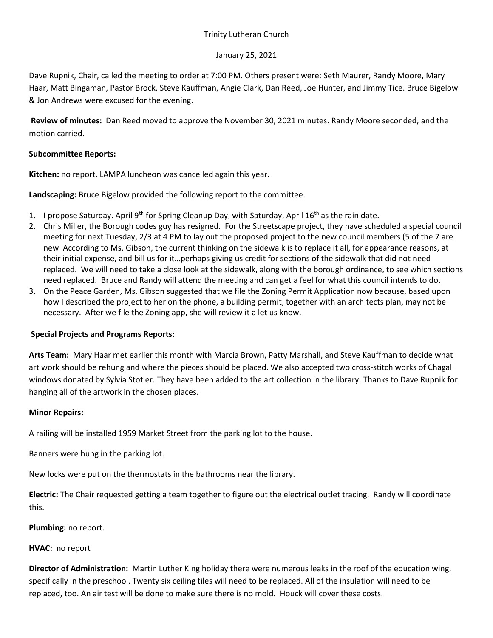## Trinity Lutheran Church

## January 25, 2021

Dave Rupnik, Chair, called the meeting to order at 7:00 PM. Others present were: Seth Maurer, Randy Moore, Mary Haar, Matt Bingaman, Pastor Brock, Steve Kauffman, Angie Clark, Dan Reed, Joe Hunter, and Jimmy Tice. Bruce Bigelow & Jon Andrews were excused for the evening.

**Review of minutes:** Dan Reed moved to approve the November 30, 2021 minutes. Randy Moore seconded, and the motion carried.

## **Subcommittee Reports:**

**Kitchen:** no report. LAMPA luncheon was cancelled again this year.

**Landscaping:** Bruce Bigelow provided the following report to the committee.

- 1. I propose Saturday. April 9<sup>th</sup> for Spring Cleanup Day, with Saturday, April 16<sup>th</sup> as the rain date.
- 2. Chris Miller, the Borough codes guy has resigned. For the Streetscape project, they have scheduled a special council meeting for next Tuesday, 2/3 at 4 PM to lay out the proposed project to the new council members (5 of the 7 are new According to Ms. Gibson, the current thinking on the sidewalk is to replace it all, for appearance reasons, at their initial expense, and bill us for it…perhaps giving us credit for sections of the sidewalk that did not need replaced. We will need to take a close look at the sidewalk, along with the borough ordinance, to see which sections need replaced. Bruce and Randy will attend the meeting and can get a feel for what this council intends to do.
- 3. On the Peace Garden, Ms. Gibson suggested that we file the Zoning Permit Application now because, based upon how I described the project to her on the phone, a building permit, together with an architects plan, may not be necessary. After we file the Zoning app, she will review it a let us know.

# **Special Projects and Programs Reports:**

**Arts Team:** Mary Haar met earlier this month with Marcia Brown, Patty Marshall, and Steve Kauffman to decide what art work should be rehung and where the pieces should be placed. We also accepted two cross-stitch works of Chagall windows donated by Sylvia Stotler. They have been added to the art collection in the library. Thanks to Dave Rupnik for hanging all of the artwork in the chosen places.

#### **Minor Repairs:**

A railing will be installed 1959 Market Street from the parking lot to the house.

Banners were hung in the parking lot.

New locks were put on the thermostats in the bathrooms near the library.

**Electric:** The Chair requested getting a team together to figure out the electrical outlet tracing. Randy will coordinate this.

**Plumbing:** no report.

#### **HVAC:** no report

**Director of Administration:** Martin Luther King holiday there were numerous leaks in the roof of the education wing, specifically in the preschool. Twenty six ceiling tiles will need to be replaced. All of the insulation will need to be replaced, too. An air test will be done to make sure there is no mold. Houck will cover these costs.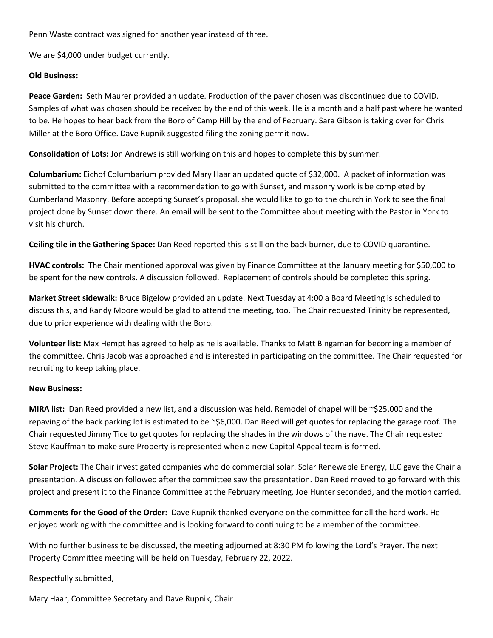Penn Waste contract was signed for another year instead of three.

We are \$4,000 under budget currently.

#### **Old Business:**

**Peace Garden:** Seth Maurer provided an update. Production of the paver chosen was discontinued due to COVID. Samples of what was chosen should be received by the end of this week. He is a month and a half past where he wanted to be. He hopes to hear back from the Boro of Camp Hill by the end of February. Sara Gibson is taking over for Chris Miller at the Boro Office. Dave Rupnik suggested filing the zoning permit now.

**Consolidation of Lots:** Jon Andrews is still working on this and hopes to complete this by summer.

**Columbarium:** Eichof Columbarium provided Mary Haar an updated quote of \$32,000. A packet of information was submitted to the committee with a recommendation to go with Sunset, and masonry work is be completed by Cumberland Masonry. Before accepting Sunset's proposal, she would like to go to the church in York to see the final project done by Sunset down there. An email will be sent to the Committee about meeting with the Pastor in York to visit his church.

**Ceiling tile in the Gathering Space:** Dan Reed reported this is still on the back burner, due to COVID quarantine.

**HVAC controls:** The Chair mentioned approval was given by Finance Committee at the January meeting for \$50,000 to be spent for the new controls. A discussion followed. Replacement of controls should be completed this spring.

**Market Street sidewalk:** Bruce Bigelow provided an update. Next Tuesday at 4:00 a Board Meeting is scheduled to discuss this, and Randy Moore would be glad to attend the meeting, too. The Chair requested Trinity be represented, due to prior experience with dealing with the Boro.

**Volunteer list:** Max Hempt has agreed to help as he is available. Thanks to Matt Bingaman for becoming a member of the committee. Chris Jacob was approached and is interested in participating on the committee. The Chair requested for recruiting to keep taking place.

#### **New Business:**

**MIRA list:** Dan Reed provided a new list, and a discussion was held. Remodel of chapel will be ~\$25,000 and the repaving of the back parking lot is estimated to be ~\$6,000. Dan Reed will get quotes for replacing the garage roof. The Chair requested Jimmy Tice to get quotes for replacing the shades in the windows of the nave. The Chair requested Steve Kauffman to make sure Property is represented when a new Capital Appeal team is formed.

**Solar Project:** The Chair investigated companies who do commercial solar. Solar Renewable Energy, LLC gave the Chair a presentation. A discussion followed after the committee saw the presentation. Dan Reed moved to go forward with this project and present it to the Finance Committee at the February meeting. Joe Hunter seconded, and the motion carried.

**Comments for the Good of the Order:** Dave Rupnik thanked everyone on the committee for all the hard work. He enjoyed working with the committee and is looking forward to continuing to be a member of the committee.

With no further business to be discussed, the meeting adjourned at 8:30 PM following the Lord's Prayer. The next Property Committee meeting will be held on Tuesday, February 22, 2022.

Respectfully submitted,

Mary Haar, Committee Secretary and Dave Rupnik, Chair